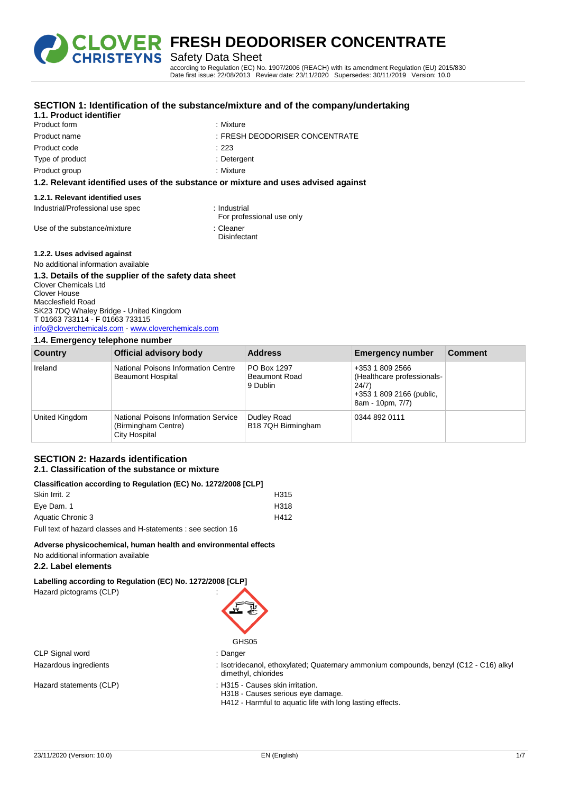

Safety Data Sheet

according to Regulation (EC) No. 1907/2006 (REACH) with its amendment Regulation (EU) 2015/830 Date first issue: 22/08/2013 Review date: 23/11/2020 Supersedes: 30/11/2019 Version: 10.0

| 1.1. Product identifier                     | SECTION 1: Identification of the substance/mixture and of the company/undertaking  |                                           |                         |         |
|---------------------------------------------|------------------------------------------------------------------------------------|-------------------------------------------|-------------------------|---------|
| Product form                                |                                                                                    | : Mixture                                 |                         |         |
| Product name                                |                                                                                    | : FRESH DEODORISER CONCENTRATE            |                         |         |
| Product code                                | : 223                                                                              |                                           |                         |         |
| Type of product                             |                                                                                    | : Detergent                               |                         |         |
| Product group                               |                                                                                    | : Mixture                                 |                         |         |
|                                             | 1.2. Relevant identified uses of the substance or mixture and uses advised against |                                           |                         |         |
| 1.2.1. Relevant identified uses             |                                                                                    |                                           |                         |         |
| Industrial/Professional use spec            |                                                                                    | : Industrial<br>For professional use only |                         |         |
| Use of the substance/mixture                | : Cleaner                                                                          | Disinfectant                              |                         |         |
| 1.2.2. Uses advised against                 |                                                                                    |                                           |                         |         |
| No additional information available         |                                                                                    |                                           |                         |         |
|                                             | 1.3. Details of the supplier of the safety data sheet                              |                                           |                         |         |
| <b>Clover Chemicals Ltd</b><br>Clover House |                                                                                    |                                           |                         |         |
| Macclesfield Road                           |                                                                                    |                                           |                         |         |
| SK23 7DQ Whaley Bridge - United Kingdom     |                                                                                    |                                           |                         |         |
| T 01663 733114 - F 01663 733115             |                                                                                    |                                           |                         |         |
|                                             | info@cloverchemicals.com - www.cloverchemicals.com                                 |                                           |                         |         |
| 1.4. Emergency telephone number             |                                                                                    |                                           |                         |         |
| <b>Country</b>                              | <b>Official advisory body</b>                                                      | <b>Address</b>                            | <b>Emergency number</b> | Comment |
| the subset of the                           | <b>Matters of Distances for the second time <math>\Omega</math> contact</b>        | <b>DO D. 4007</b>                         | $0.050 \pm 0.000000$    |         |

| <b>COUNTY</b>  | UITICIAI AUVISOLY DOUY                                                       | Address                                         | Emergency number                                                                                       | Comment |
|----------------|------------------------------------------------------------------------------|-------------------------------------------------|--------------------------------------------------------------------------------------------------------|---------|
| Ireland        | National Poisons Information Centre<br><b>Beaumont Hospital</b>              | PO Box 1297<br><b>Beaumont Road</b><br>9 Dublin | +353 1 809 2566<br>(Healthcare professionals-<br>24/7)<br>+353 1 809 2166 (public,<br>8am - 10pm, 7/7) |         |
| United Kingdom | National Poisons Information Service<br>(Birmingham Centre)<br>City Hospital | Dudley Road<br>B18 7QH Birmingham               | 0344 892 0111                                                                                          |         |

### **SECTION 2: Hazards identification 2.1. Classification of the substance or mixture**

| Classification according to Regulation (EC) No. 1272/2008 [CLP] |                  |
|-----------------------------------------------------------------|------------------|
| Skin Irrit, 2                                                   | H <sub>315</sub> |
| Eye Dam. 1                                                      | H318             |
| Aquatic Chronic 3                                               | H412             |
| Full text of hazard classes and H-statements : see section 16   |                  |

### **Adverse physicochemical, human health and environmental effects**

No additional information available

# **2.2. Label elements**

**Labelling according to Regulation (EC) No. 1272/2008 [CLP]**

Hazard pictograms (CLP) :

GHS05

CLP Signal word : Danger

- Hazardous ingredients : Isotridecanol, ethoxylated; Quaternary ammonium compounds, benzyl (C12 C16) alkyl dimethyl, chlorides
- Hazard statements (CLP) : H315 Causes skin irritation.
	- H318 Causes serious eye damage.
	- H412 Harmful to aquatic life with long lasting effects.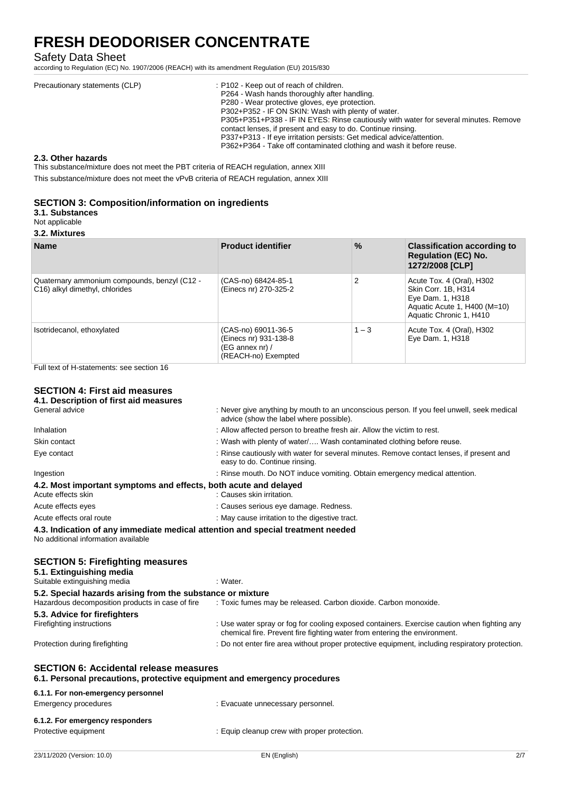Safety Data Sheet

according to Regulation (EC) No. 1907/2006 (REACH) with its amendment Regulation (EU) 2015/830

| Precautionary statements (CLP) | : P102 - Keep out of reach of children.<br>P264 - Wash hands thoroughly after handling.<br>P280 - Wear protective gloves, eye protection.<br>P302+P352 - IF ON SKIN: Wash with plenty of water.<br>P305+P351+P338 - IF IN EYES: Rinse cautiously with water for several minutes. Remove |
|--------------------------------|-----------------------------------------------------------------------------------------------------------------------------------------------------------------------------------------------------------------------------------------------------------------------------------------|
|                                | contact lenses, if present and easy to do. Continue rinsing.<br>P337+P313 - If eye irritation persists: Get medical advice/attention.<br>P362+P364 - Take off contaminated clothing and wash it before reuse.                                                                           |

### **2.3. Other hazards**

This substance/mixture does not meet the PBT criteria of REACH regulation, annex XIII

This substance/mixture does not meet the vPvB criteria of REACH regulation, annex XIII

## **SECTION 3: Composition/information on ingredients**

**3.1. Substances**

Not applicable

**3.2. Mixtures**

| <b>Name</b>                                                                    | <b>Product identifier</b>                                                                  | $\%$           | <b>Classification according to</b><br><b>Regulation (EC) No.</b><br>1272/2008 [CLP]                                             |
|--------------------------------------------------------------------------------|--------------------------------------------------------------------------------------------|----------------|---------------------------------------------------------------------------------------------------------------------------------|
| Quaternary ammonium compounds, benzyl (C12 -<br>C16) alkyl dimethyl, chlorides | (CAS-no) 68424-85-1<br>(Einecs nr) 270-325-2                                               | $\overline{2}$ | Acute Tox. 4 (Oral), H302<br>Skin Corr. 1B, H314<br>Eye Dam. 1, H318<br>Aquatic Acute 1, H400 (M=10)<br>Aquatic Chronic 1, H410 |
| Isotridecanol, ethoxylated                                                     | (CAS-no) 69011-36-5<br>(Einecs nr) 931-138-8<br>$(EG \nannex nr) /$<br>(REACH-no) Exempted | $1 - 3$        | Acute Tox. 4 (Oral), H302<br>Eye Dam. 1, H318                                                                                   |

Full text of H-statements: see section 16

# **SECTION 4: First aid measures**

| 4.1. Description of first aid measures                                                                                    |                                                                                                                                                                          |
|---------------------------------------------------------------------------------------------------------------------------|--------------------------------------------------------------------------------------------------------------------------------------------------------------------------|
| General advice                                                                                                            | : Never give anything by mouth to an unconscious person. If you feel unwell, seek medical<br>advice (show the label where possible).                                     |
| Inhalation                                                                                                                | : Allow affected person to breathe fresh air. Allow the victim to rest.                                                                                                  |
| Skin contact                                                                                                              | : Wash with plenty of water/ Wash contaminated clothing before reuse.                                                                                                    |
| Eye contact                                                                                                               | : Rinse cautiously with water for several minutes. Remove contact lenses, if present and<br>easy to do. Continue rinsing.                                                |
| Ingestion                                                                                                                 | : Rinse mouth. Do NOT induce vomiting. Obtain emergency medical attention.                                                                                               |
| 4.2. Most important symptoms and effects, both acute and delayed<br>Acute effects skin                                    | : Causes skin irritation.                                                                                                                                                |
| Acute effects eyes                                                                                                        | : Causes serious eye damage. Redness.                                                                                                                                    |
| Acute effects oral route                                                                                                  | : May cause irritation to the digestive tract.                                                                                                                           |
| 4.3. Indication of any immediate medical attention and special treatment needed<br>No additional information available    |                                                                                                                                                                          |
| <b>SECTION 5: Firefighting measures</b><br>5.1. Extinguishing media                                                       |                                                                                                                                                                          |
| Suitable extinguishing media                                                                                              | : Water.                                                                                                                                                                 |
| 5.2. Special hazards arising from the substance or mixture<br>Hazardous decomposition products in case of fire            | : Toxic fumes may be released. Carbon dioxide. Carbon monoxide.                                                                                                          |
| 5.3. Advice for firefighters                                                                                              |                                                                                                                                                                          |
| Firefighting instructions                                                                                                 | : Use water spray or fog for cooling exposed containers. Exercise caution when fighting any<br>chemical fire. Prevent fire fighting water from entering the environment. |
| Protection during firefighting                                                                                            | : Do not enter fire area without proper protective equipment, including respiratory protection.                                                                          |
| <b>SECTION 6: Accidental release measures</b><br>6.1. Personal precautions, protective equipment and emergency procedures |                                                                                                                                                                          |
| 6.1.1. For non-emergency personnel<br>Emergency procedures                                                                | : Evacuate unnecessary personnel.                                                                                                                                        |
| 6.1.2. For emergency responders                                                                                           |                                                                                                                                                                          |
| Protective equipment                                                                                                      | : Equip cleanup crew with proper protection.                                                                                                                             |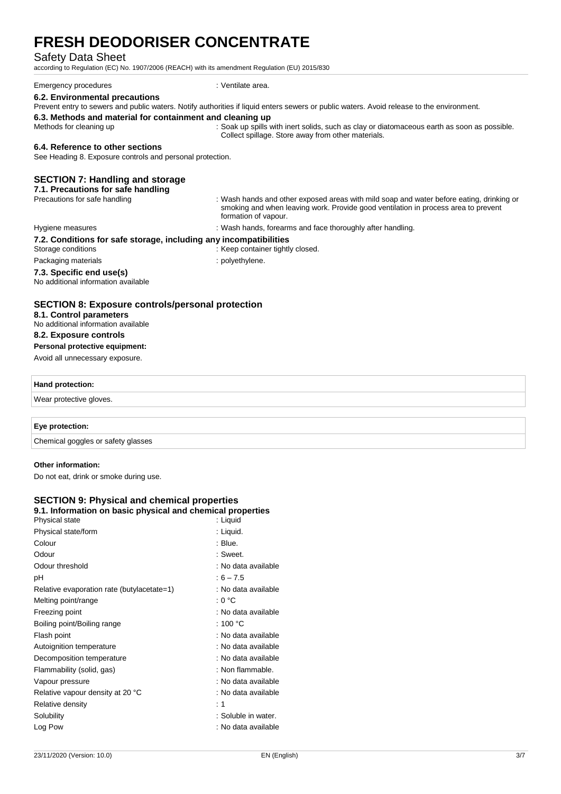### Safety Data Sheet

according to Regulation (EC) No. 1907/2006 (REACH) with its amendment Regulation (EU) 2015/830

| Emergency procedures                                     | : Ventilate area.                                                                                                                         |
|----------------------------------------------------------|-------------------------------------------------------------------------------------------------------------------------------------------|
| 6.2. Environmental precautions                           |                                                                                                                                           |
|                                                          | Prevent entry to sewers and public waters. Notify authorities if liquid enters sewers or public waters. Avoid release to the environment. |
| 6.3 Methods and material for containment and cleaning up |                                                                                                                                           |

### **6.3. Methods and material for containment and cleaning up**

Methods for cleaning up : Soak up spills with inert solids, such as clay or diatomaceous earth as soon as possible. Collect spillage. Store away from other materials.

#### **6.4. Reference to other sections**

See Heading 8. Exposure controls and personal protection.

### **SECTION 7: Handling and storage**

# **7.1. Precautions for safe handling**

: Wash hands and other exposed areas with mild soap and water before eating, drinking or smoking and when leaving work. Provide good ventilation in process area to prevent formation of vapour.

#### Hygiene measures in the state of the state of the Hygiene measures in the state of the state of the Hygiene measures in the Hygiene measures in the Hygiene measures in the Hygiene measures in the Hygiene measures in the Hy

# **7.2. Conditions for safe storage, including any incompatibilities**

- Storage conditions : Keep container tightly closed.
- Packaging materials **Example 20** is polyethylene.
	-

#### **7.3. Specific end use(s)** No additional information available

## **SECTION 8: Exposure controls/personal protection**

### **8.1. Control parameters**

No additional information available

# **8.2. Exposure controls**

**Personal protective equipment:**

# Avoid all unnecessary exposure.

#### **Hand protection:**

Wear protective gloves.

### **Eye protection:**

Chemical goggles or safety glasses

### **Other information:**

Do not eat, drink or smoke during use.

### **SECTION 9: Physical and chemical properties 9.1. Information on basic physical and chemical properties**

| .<br>Physical state                        | : Liquid            |
|--------------------------------------------|---------------------|
| Physical state/form                        | : Liquid.           |
| Colour                                     | : Blue.             |
| Odour                                      | : Sweet.            |
| Odour threshold                            | : No data available |
| рH                                         | $:6 - 7.5$          |
| Relative evaporation rate (butylacetate=1) | : No data available |
| Melting point/range                        | : 0 °C              |
| Freezing point                             | : No data available |
| Boiling point/Boiling range                | : 100 $^{\circ}$ C  |
| Flash point                                | : No data available |
| Autoignition temperature                   | : No data available |
| Decomposition temperature                  | : No data available |
| Flammability (solid, gas)                  | : Non flammable.    |
| Vapour pressure                            | : No data available |
| Relative vapour density at 20 °C           | : No data available |
| Relative density                           | : 1                 |
| Solubility                                 | : Soluble in water. |
| Log Pow                                    | : No data available |
|                                            |                     |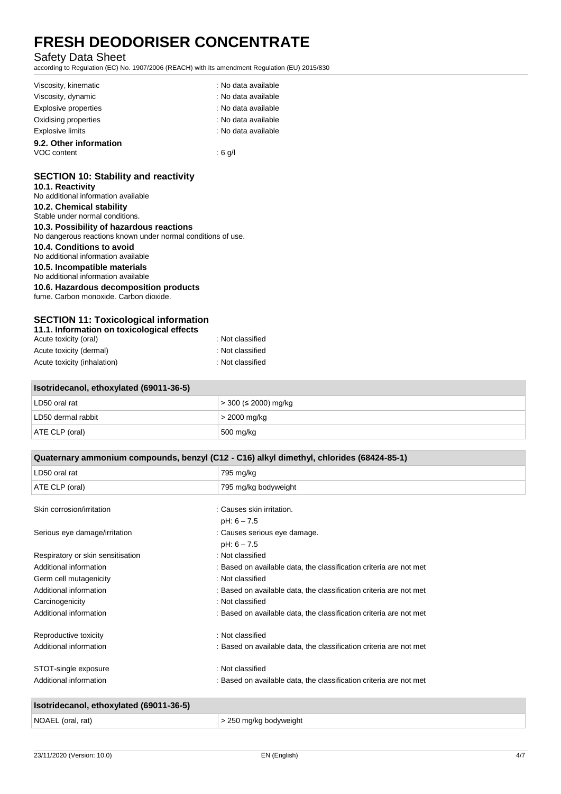# Safety Data Sheet

according to Regulation (EC) No. 1907/2006 (REACH) with its amendment Regulation (EU) 2015/830

| Viscosity, kinematic    | : No data available |
|-------------------------|---------------------|
| Viscosity, dynamic      | : No data available |
| Explosive properties    | : No data available |
| Oxidising properties    | : No data available |
| <b>Explosive limits</b> | : No data available |
| 9.2. Other information  |                     |
| VOC content             | : 6 g/l             |

# **SECTION 10: Stability and reactivity**

# **10.1. Reactivity**

No additional information available

# **10.2. Chemical stability**

Stable under normal conditions.

## **10.3. Possibility of hazardous reactions**

No dangerous reactions known under normal conditions of use.

## **10.4. Conditions to avoid**

No additional information available

## **10.5. Incompatible materials**

No additional information available

### **10.6. Hazardous decomposition products**

fume. Carbon monoxide. Carbon dioxide.

# **SECTION 11: Toxicological information**

| 11.1. Information on toxicological effects |                  |  |
|--------------------------------------------|------------------|--|
| Acute toxicity (oral)                      | : Not classified |  |
| Acute toxicity (dermal)                    | : Not classified |  |
| Acute toxicity (inhalation)                | : Not classified |  |

| LD50 oral rat      | > 300 (≤ 2000) mg/kg |  |
|--------------------|----------------------|--|
| LD50 dermal rabbit | > 2000 mg/kg         |  |
| ATE CLP (oral)     | 500 mg/kg            |  |

| Quaternary ammonium compounds, benzyl (C12 - C16) alkyl dimethyl, chlorides (68424-85-1) |                                                                    |  |
|------------------------------------------------------------------------------------------|--------------------------------------------------------------------|--|
| LD50 oral rat                                                                            | 795 mg/kg                                                          |  |
| ATE CLP (oral)                                                                           | 795 mg/kg bodyweight                                               |  |
| Skin corrosion/irritation                                                                | : Causes skin irritation.                                          |  |
|                                                                                          | $pH: 6 - 7.5$                                                      |  |
| Serious eye damage/irritation                                                            | : Causes serious eye damage.                                       |  |
|                                                                                          | $pH: 6 - 7.5$                                                      |  |
| Respiratory or skin sensitisation                                                        | : Not classified                                                   |  |
| Additional information                                                                   | : Based on available data, the classification criteria are not met |  |
| Germ cell mutagenicity                                                                   | : Not classified                                                   |  |
| Additional information                                                                   | : Based on available data, the classification criteria are not met |  |
| Carcinogenicity                                                                          | : Not classified                                                   |  |
| Additional information                                                                   | : Based on available data, the classification criteria are not met |  |
| Reproductive toxicity                                                                    | : Not classified                                                   |  |
| Additional information                                                                   | : Based on available data, the classification criteria are not met |  |
| STOT-single exposure                                                                     | : Not classified                                                   |  |
| Additional information                                                                   | : Based on available data, the classification criteria are not met |  |
| Isotridecanol, ethoxylated (69011-36-5)                                                  |                                                                    |  |

| NOAEL (oral, rat) | - 250 mg/kg bodyweight |
|-------------------|------------------------|
|                   |                        |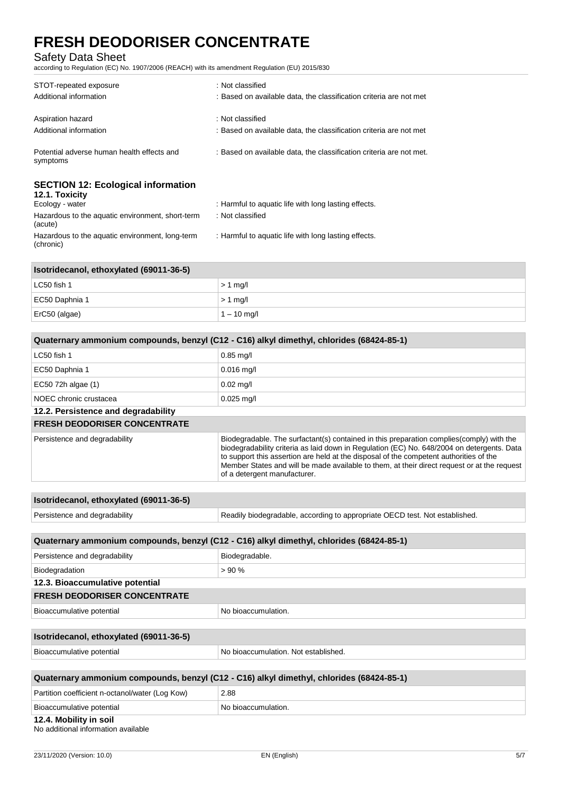# Safety Data Sheet

(chronic)

according to Regulation (EC) No. 1907/2006 (REACH) with its amendment Regulation (EU) 2015/830

| STOT-repeated exposure<br>Additional information                               | : Not classified<br>: Based on available data, the classification criteria are not met |
|--------------------------------------------------------------------------------|----------------------------------------------------------------------------------------|
| Aspiration hazard                                                              | : Not classified                                                                       |
| Additional information                                                         | : Based on available data, the classification criteria are not met                     |
| Potential adverse human health effects and<br>symptoms                         | : Based on available data, the classification criteria are not met.                    |
| <b>SECTION 12: Ecological information</b><br>12.1. Toxicity<br>Ecology - water | : Harmful to aquatic life with long lasting effects.                                   |
|                                                                                |                                                                                        |
| Hazardous to the aquatic environment, short-term<br>(acute)                    | : Not classified                                                                       |
| Hazardous to the aquatic environment, long-term                                | : Harmful to aquatic life with long lasting effects.                                   |

| Isotridecanol, ethoxylated (69011-36-5) |               |  |
|-----------------------------------------|---------------|--|
| ∣ LC50 fish 1                           | $> 1$ mg/     |  |
| EC50 Daphnia 1                          | $> 1$ mg/     |  |
| ErC50 (algae)                           | $1 - 10$ mg/l |  |

| Quaternary ammonium compounds, benzyl (C12 - C16) alkyl dimethyl, chlorides (68424-85-1) |                                                                                                                                                                                                                                                                                                                                                                                                                 |  |
|------------------------------------------------------------------------------------------|-----------------------------------------------------------------------------------------------------------------------------------------------------------------------------------------------------------------------------------------------------------------------------------------------------------------------------------------------------------------------------------------------------------------|--|
| LC50 fish 1                                                                              | $0.85$ mg/l                                                                                                                                                                                                                                                                                                                                                                                                     |  |
| EC50 Daphnia 1                                                                           | $0.016$ mg/l                                                                                                                                                                                                                                                                                                                                                                                                    |  |
| EC50 72h algae (1)                                                                       | $0.02$ mg/l                                                                                                                                                                                                                                                                                                                                                                                                     |  |
| NOEC chronic crustacea                                                                   | $0.025$ mg/l                                                                                                                                                                                                                                                                                                                                                                                                    |  |
| 12.2. Persistence and degradability                                                      |                                                                                                                                                                                                                                                                                                                                                                                                                 |  |
| <b>FRESH DEODORISER CONCENTRATE</b>                                                      |                                                                                                                                                                                                                                                                                                                                                                                                                 |  |
| Persistence and degradability                                                            | Biodegradable. The surfactant(s) contained in this preparation complies(comply) with the<br>biodegradability criteria as laid down in Regulation (EC) No. 648/2004 on detergents. Data<br>to support this assertion are held at the disposal of the competent authorities of the<br>Member States and will be made available to them, at their direct request or at the request<br>of a detergent manufacturer. |  |

| Isotridecanol, ethoxylated (69011-36-5)                                                  |                                                                             |
|------------------------------------------------------------------------------------------|-----------------------------------------------------------------------------|
| Persistence and degradability                                                            | Readily biodegradable, according to appropriate OECD test. Not established. |
|                                                                                          |                                                                             |
| Quaternary ammonium compounds, benzyl (C12 - C16) alkyl dimethyl, chlorides (68424-85-1) |                                                                             |

| Persistence and degradability       | Biodegradable.      |  |
|-------------------------------------|---------------------|--|
| Biodegradation                      | > 90%               |  |
| 12.3. Bioaccumulative potential     |                     |  |
| <b>FRESH DEODORISER CONCENTRATE</b> |                     |  |
| Bioaccumulative potential           | No bioaccumulation. |  |
|                                     |                     |  |

| Isotridecanol, ethoxylated (69011-36-5) |                                      |
|-----------------------------------------|--------------------------------------|
| Bioaccumulative potential               | No bioaccumulation. Not established. |
|                                         |                                      |

| Quaternary ammonium compounds, benzyl (C12 - C16) alkyl dimethyl, chlorides (68424-85-1) |                     |
|------------------------------------------------------------------------------------------|---------------------|
| Partition coefficient n-octanol/water (Log Kow)                                          | 2.88                |
| Bioaccumulative potential                                                                | No bioaccumulation. |
| 12.4. Mobility in soil                                                                   |                     |

# No additional information available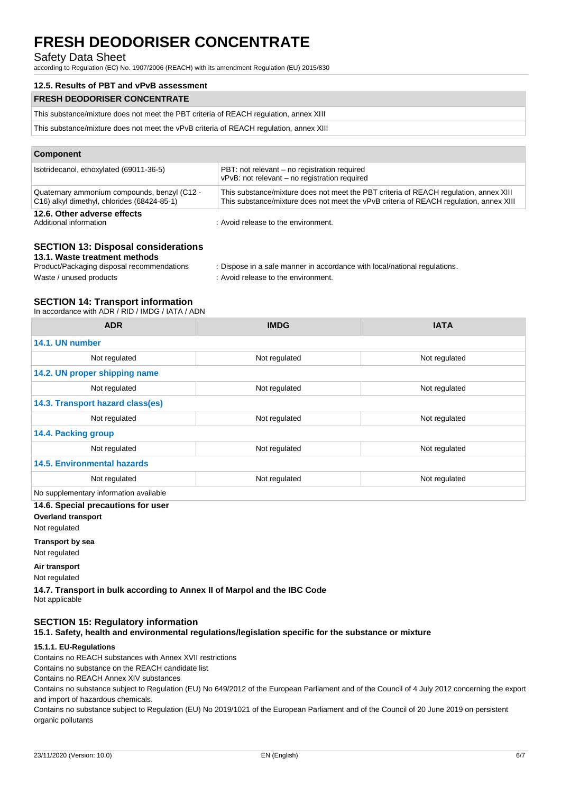## Safety Data Sheet

according to Regulation (EC) No. 1907/2006 (REACH) with its amendment Regulation (EU) 2015/830

### **12.5. Results of PBT and vPvB assessment**

| <b>FRESH DEODORISER CONCENTRATE</b>                                                   |  |
|---------------------------------------------------------------------------------------|--|
| This substance/mixture does not meet the PBT criteria of REACH regulation, annex XIII |  |
|                                                                                       |  |

This substance/mixture does not meet the vPvB criteria of REACH regulation, annex XIII

## **Component**

| Isotridecanol, ethoxylated (69011-36-5)                                                     | PBT: not relevant – no registration required<br>vPvB: not relevant - no registration required                                                                                   |
|---------------------------------------------------------------------------------------------|---------------------------------------------------------------------------------------------------------------------------------------------------------------------------------|
| Quaternary ammonium compounds, benzyl (C12 -<br>C16) alkyl dimethyl, chlorides (68424-85-1) | This substance/mixture does not meet the PBT criteria of REACH regulation, annex XIII<br>This substance/mixture does not meet the vPvB criteria of REACH regulation, annex XIII |
| 12.6. Other adverse effects<br>Additional information                                       | : Avoid release to the environment.                                                                                                                                             |

# **SECTION 13: Disposal considerations**

**13.1. Waste treatment methods**

| Product/Packaging disposal recommendations | : Dispose in a safe manner in accordance with local/national requlations. |
|--------------------------------------------|---------------------------------------------------------------------------|
| Waste / unused products                    | : Avoid release to the environment.                                       |

# **SECTION 14: Transport information**

In accordance with ADR / RID / IMDG / IATA / ADN

| <b>ADR</b>                             | <b>IMDG</b>   | <b>IATA</b>   |  |  |
|----------------------------------------|---------------|---------------|--|--|
| 14.1. UN number                        |               |               |  |  |
| Not regulated                          | Not regulated | Not regulated |  |  |
| 14.2. UN proper shipping name          |               |               |  |  |
| Not regulated                          | Not regulated | Not regulated |  |  |
| 14.3. Transport hazard class(es)       |               |               |  |  |
| Not regulated                          | Not regulated | Not regulated |  |  |
| 14.4. Packing group                    |               |               |  |  |
| Not regulated                          | Not regulated | Not regulated |  |  |
| <b>14.5. Environmental hazards</b>     |               |               |  |  |
| Not regulated                          | Not regulated | Not regulated |  |  |
| No supplementary information available |               |               |  |  |

### **14.6. Special precautions for user**

**Overland transport**

Not regulated

**Transport by sea**

Not regulated

**Air transport**

Not regulated

**14.7. Transport in bulk according to Annex II of Marpol and the IBC Code** Not applicable

## **SECTION 15: Regulatory information**

**15.1. Safety, health and environmental regulations/legislation specific for the substance or mixture**

## **15.1.1. EU-Regulations**

Contains no REACH substances with Annex XVII restrictions

Contains no substance on the REACH candidate list

Contains no REACH Annex XIV substances

Contains no substance subject to Regulation (EU) No 649/2012 of the European Parliament and of the Council of 4 July 2012 concerning the export and import of hazardous chemicals.

Contains no substance subject to Regulation (EU) No 2019/1021 of the European Parliament and of the Council of 20 June 2019 on persistent organic pollutants